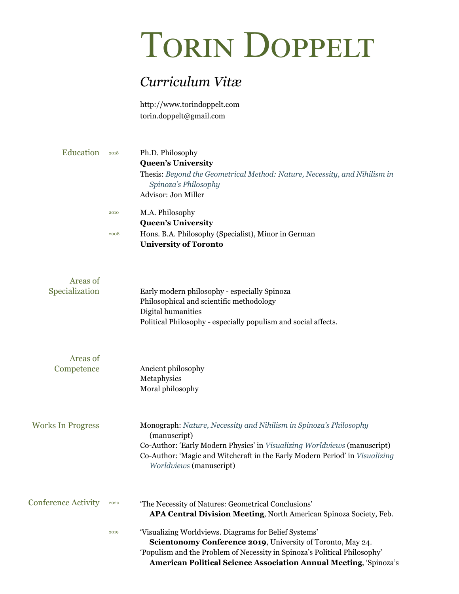## TORIN DOPPELT

## *Curriculum Vitæ*

[http://www.torindoppelt.com](http://www.torindoppelt.com/) [torin.doppelt@gmail.com](mailto:torin.doppelt@gmail.com)

| Education | 2018 | Ph.D. Philosophy<br><b>Queen's University</b><br>Thesis: Beyond the Geometrical Method: Nature, Necessity, and Nihilism in<br>Spinoza's Philosophy<br>Advisor: Jon Miller |
|-----------|------|---------------------------------------------------------------------------------------------------------------------------------------------------------------------------|
|           | 2010 | M.A. Philosophy                                                                                                                                                           |
|           |      | <b>Queen's University</b>                                                                                                                                                 |
|           | 2008 | Hons. B.A. Philosophy (Specialist), Minor in German                                                                                                                       |
|           |      | <b>University of Toronto</b>                                                                                                                                              |
|           |      |                                                                                                                                                                           |
| Areas of  |      |                                                                                                                                                                           |

| Specialization             | Early modern philosophy - especially Spinoza<br>Philosophical and scientific methodology<br>Digital humanities<br>Political Philosophy - especially populism and social affects.                                                                                               |
|----------------------------|--------------------------------------------------------------------------------------------------------------------------------------------------------------------------------------------------------------------------------------------------------------------------------|
| Areas of<br>Competence     | Ancient philosophy<br>Metaphysics                                                                                                                                                                                                                                              |
|                            | Moral philosophy                                                                                                                                                                                                                                                               |
| <b>Works In Progress</b>   | Monograph: Nature, Necessity and Nihilism in Spinoza's Philosophy<br>(manuscript)<br>Co-Author: 'Early Modern Physics' in Visualizing Worldviews (manuscript)<br>Co-Author: 'Magic and Witchcraft in the Early Modern Period' in Visualizing<br>Worldviews (manuscript)        |
| <b>Conference Activity</b> | 2020<br>'The Necessity of Natures: Geometrical Conclusions'<br>APA Central Division Meeting, North American Spinoza Society, Feb.                                                                                                                                              |
|                            | 'Visualizing Worldviews. Diagrams for Belief Systems'<br>2019<br>Scientonomy Conference 2019, University of Toronto, May 24.<br>'Populism and the Problem of Necessity in Spinoza's Political Philosophy'<br>American Political Science Association Annual Meeting, 'Spinoza's |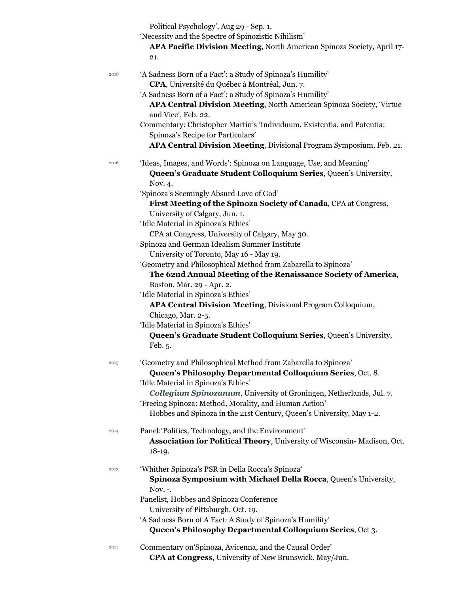Political Psychology', Aug 29 - Sep. 1.

'Necessity and the Spectre of Spinozistic Nihilism'

**APA Pacific Division Meeting**, North American Spinoza Society, April 17- 21.

| 2018 | 'A Sadness Born of a Fact': a Study of Spinoza's Humility'                                  |
|------|---------------------------------------------------------------------------------------------|
|      | CPA, Université du Québec à Montréal, Jun. 7.                                               |
|      | 'A Sadness Born of a Fact': a Study of Spinoza's Humility'                                  |
|      | APA Central Division Meeting, North American Spinoza Society, Virtue<br>and Vice', Feb. 22. |
|      | Commentary: Christopher Martin's 'Individuum, Existentia, and Potentia:                     |
|      | Spinoza's Recipe for Particulars'                                                           |
|      | APA Central Division Meeting, Divisional Program Symposium, Feb. 21.                        |
| 2016 | 'Ideas, Images, and Words': Spinoza on Language, Use, and Meaning'                          |
|      | Queen's Graduate Student Colloquium Series, Queen's University,<br>Nov. 4.                  |
|      | 'Spinoza's Seemingly Absurd Love of God'                                                    |
|      | First Meeting of the Spinoza Society of Canada, CPA at Congress,                            |
|      | University of Calgary, Jun. 1.                                                              |
|      | 'Idle Material in Spinoza's Ethics'                                                         |
|      | CPA at Congress, University of Calgary, May 30.                                             |
|      | Spinoza and German Idealism Summer Institute                                                |
|      | University of Toronto, May 16 - May 19.                                                     |
|      | 'Geometry and Philosophical Method from Zabarella to Spinoza'                               |
|      |                                                                                             |
|      | The 62nd Annual Meeting of the Renaissance Society of America,                              |
|      | Boston, Mar. 29 - Apr. 2.                                                                   |
|      | 'Idle Material in Spinoza's Ethics'                                                         |
|      | APA Central Division Meeting, Divisional Program Colloquium,                                |
|      | Chicago, Mar. 2-5.                                                                          |
|      | 'Idle Material in Spinoza's Ethics'                                                         |
|      | Queen's Graduate Student Colloquium Series, Queen's University,                             |
|      | Feb. 5.                                                                                     |
| 2015 | 'Geometry and Philosophical Method from Zabarella to Spinoza'                               |
|      | Queen's Philosophy Departmental Colloquium Series, Oct. 8.                                  |
|      | 'Idle Material in Spinoza's Ethics'                                                         |
|      | Collegium Spinozanum, University of Groningen, Netherlands, Jul. 7.                         |
|      | 'Freeing Spinoza: Method, Morality, and Human Action'                                       |
|      | Hobbes and Spinoza in the 21st Century, Queen's University, May 1-2.                        |
|      |                                                                                             |
| 2014 | Panel: Politics, Technology, and the Environment'                                           |
|      | Association for Political Theory, University of Wisconsin-Madison, Oct.                     |
|      | $18-19.$                                                                                    |
| 2013 | 'Whither Spinoza's PSR in Della Rocca's Spinoza'                                            |
|      | Spinoza Symposium with Michael Della Rocca, Queen's University,                             |
|      | Nov. -.                                                                                     |
|      | Panelist, Hobbes and Spinoza Conference                                                     |
|      | University of Pittsburgh, Oct. 19.                                                          |
|      | 'A Sadness Born of A Fact: A Study of Spinoza's Humility'                                   |
|      | Queen's Philosophy Departmental Colloquium Series, Oct 3.                                   |
|      |                                                                                             |
| 2011 | Commentary on Spinoza, Avicenna, and the Causal Order'                                      |
|      | CPA at Congress, University of New Brunswick. May/Jun.                                      |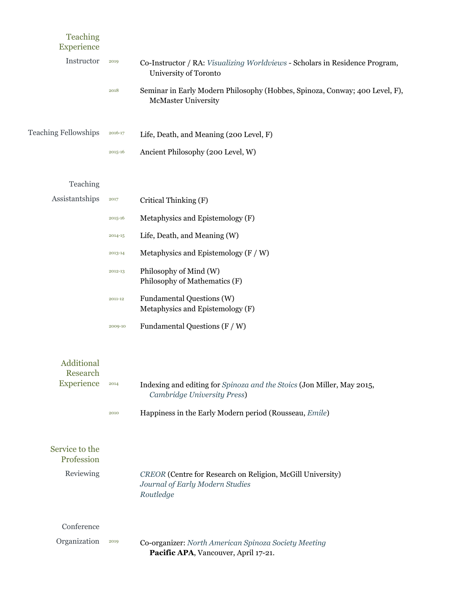| <b>Teaching</b><br>Experience |         |                                                                                                            |
|-------------------------------|---------|------------------------------------------------------------------------------------------------------------|
| Instructor                    | 2019    | Co-Instructor / RA: Visualizing Worldviews - Scholars in Residence Program,<br>University of Toronto       |
|                               | 2018    | Seminar in Early Modern Philosophy (Hobbes, Spinoza, Conway; 400 Level, F),<br><b>McMaster University</b>  |
| <b>Teaching Fellowships</b>   | 2016-17 | Life, Death, and Meaning (200 Level, F)                                                                    |
|                               | 2015-16 | Ancient Philosophy (200 Level, W)                                                                          |
| Teaching                      |         |                                                                                                            |
| Assistantships                | 2017    | Critical Thinking (F)                                                                                      |
|                               | 2015-16 | Metaphysics and Epistemology (F)                                                                           |
|                               | 2014-15 | Life, Death, and Meaning (W)                                                                               |
|                               | 2013-14 | Metaphysics and Epistemology $(F / W)$                                                                     |
|                               | 2012-13 | Philosophy of Mind (W)<br>Philosophy of Mathematics (F)                                                    |
|                               | 2011-12 | Fundamental Questions (W)<br>Metaphysics and Epistemology (F)                                              |
|                               | 2009-10 | Fundamental Questions $(F/W)$                                                                              |
| Additional<br>Research        |         |                                                                                                            |
| Experience                    | 2014    | Indexing and editing for Spinoza and the Stoics (Jon Miller, May 2015,<br>Cambridge University Press)      |
|                               | 2010    | Happiness in the Early Modern period (Rousseau, Emile)                                                     |
| Service to the<br>Profession  |         |                                                                                                            |
| Reviewing                     |         | CREOR (Centre for Research on Religion, McGill University)<br>Journal of Early Modern Studies<br>Routledge |
| Conference                    |         |                                                                                                            |
| Organization                  | 2019    | Co-organizer: North American Spinoza Society Meeting<br>Pacific APA, Vancouver, April 17-21.               |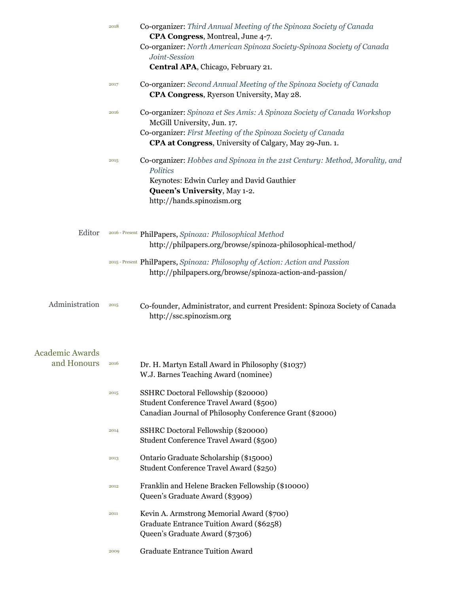|                                       | 2018 | Co-organizer: Third Annual Meeting of the Spinoza Society of Canada<br>CPA Congress, Montreal, June 4-7.                                                                                           |
|---------------------------------------|------|----------------------------------------------------------------------------------------------------------------------------------------------------------------------------------------------------|
|                                       |      | Co-organizer: North American Spinoza Society-Spinoza Society of Canada<br>Joint-Session                                                                                                            |
|                                       |      | Central APA, Chicago, February 21.                                                                                                                                                                 |
|                                       | 2017 | Co-organizer: Second Annual Meeting of the Spinoza Society of Canada<br>CPA Congress, Ryerson University, May 28.                                                                                  |
|                                       | 2016 | Co-organizer: Spinoza et Ses Amis: A Spinoza Society of Canada Workshop<br>McGill University, Jun. 17.<br>Co-organizer: First Meeting of the Spinoza Society of Canada                             |
|                                       |      | CPA at Congress, University of Calgary, May 29-Jun. 1.                                                                                                                                             |
|                                       | 2015 | Co-organizer: Hobbes and Spinoza in the 21st Century: Method, Morality, and<br>Politics<br>Keynotes: Edwin Curley and David Gauthier<br>Queen's University, May 1-2.<br>http://hands.spinozism.org |
| Editor                                |      | 2016 - Present PhilPapers, Spinoza: Philosophical Method<br>http://philpapers.org/browse/spinoza-philosophical-method/                                                                             |
|                                       |      | 2015 - Present PhilPapers, Spinoza: Philosophy of Action: Action and Passion<br>http://philpapers.org/browse/spinoza-action-and-passion/                                                           |
| Administration                        | 2015 | Co-founder, Administrator, and current President: Spinoza Society of Canada<br>http://ssc.spinozism.org                                                                                            |
|                                       |      |                                                                                                                                                                                                    |
| <b>Academic Awards</b><br>and Honours | 2016 | Dr. H. Martyn Estall Award in Philosophy (\$1037)<br>W.J. Barnes Teaching Award (nominee)                                                                                                          |
|                                       | 2015 | SSHRC Doctoral Fellowship (\$20000)<br>Student Conference Travel Award (\$500)<br>Canadian Journal of Philosophy Conference Grant (\$2000)                                                         |
|                                       | 2014 | SSHRC Doctoral Fellowship (\$20000)<br>Student Conference Travel Award (\$500)                                                                                                                     |
|                                       | 2013 | Ontario Graduate Scholarship (\$15000)<br>Student Conference Travel Award (\$250)                                                                                                                  |
|                                       | 2012 | Franklin and Helene Bracken Fellowship (\$10000)<br>Queen's Graduate Award (\$3909)                                                                                                                |
|                                       | 2011 | Kevin A. Armstrong Memorial Award (\$700)<br>Graduate Entrance Tuition Award (\$6258)<br>Queen's Graduate Award (\$7306)                                                                           |
|                                       | 2009 | <b>Graduate Entrance Tuition Award</b>                                                                                                                                                             |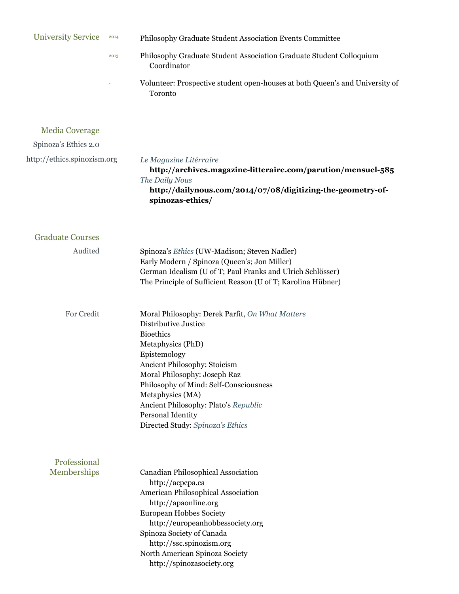| <b>University Service</b>   | 2014 | Philosophy Graduate Student Association Events Committee                                                                                                                                                                                                                                                                                                        |
|-----------------------------|------|-----------------------------------------------------------------------------------------------------------------------------------------------------------------------------------------------------------------------------------------------------------------------------------------------------------------------------------------------------------------|
|                             | 2013 | Philosophy Graduate Student Association Graduate Student Colloquium<br>Coordinator                                                                                                                                                                                                                                                                              |
|                             |      | Volunteer: Prospective student open-houses at both Queen's and University of<br>Toronto                                                                                                                                                                                                                                                                         |
| <b>Media Coverage</b>       |      |                                                                                                                                                                                                                                                                                                                                                                 |
| Spinoza's Ethics 2.0        |      |                                                                                                                                                                                                                                                                                                                                                                 |
| http://ethics.spinozism.org |      | Le Magazine Litérraire<br>http://archives.magazine-litteraire.com/parution/mensuel-585<br>The Daily Nous<br>http://dailynous.com/2014/07/08/digitizing-the-geometry-of-<br>spinozas-ethics/                                                                                                                                                                     |
| <b>Graduate Courses</b>     |      |                                                                                                                                                                                                                                                                                                                                                                 |
| Audited                     |      | Spinoza's Ethics (UW-Madison; Steven Nadler)<br>Early Modern / Spinoza (Queen's; Jon Miller)<br>German Idealism (U of T; Paul Franks and Ulrich Schlösser)<br>The Principle of Sufficient Reason (U of T; Karolina Hübner)                                                                                                                                      |
| For Credit                  |      | Moral Philosophy: Derek Parfit, On What Matters<br>Distributive Justice<br><b>Bioethics</b><br>Metaphysics (PhD)<br>Epistemology<br>Ancient Philosophy: Stoicism<br>Moral Philosophy: Joseph Raz<br>Philosophy of Mind: Self-Consciousness<br>Metaphysics (MA)<br>Ancient Philosophy: Plato's Republic<br>Personal Identity<br>Directed Study: Spinoza's Ethics |
| Professional<br>Memberships |      | Canadian Philosophical Association<br>http://acpcpa.ca<br>American Philosophical Association<br>http://apaonline.org<br>European Hobbes Society<br>http://europeanhobbessociety.org<br>Spinoza Society of Canada<br>http://ssc.spinozism.org<br>North American Spinoza Society<br>http://spinozasociety.org                                                     |